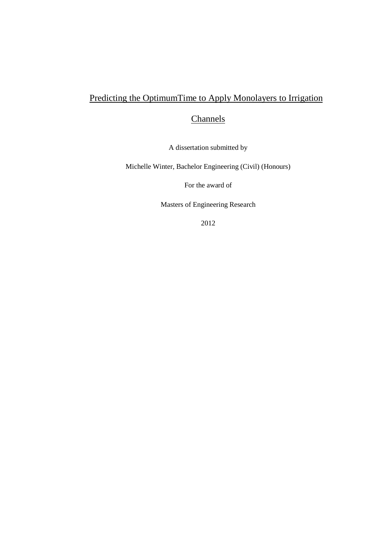# Predicting the OptimumTime to Apply Monolayers to Irrigation

# **Channels**

A dissertation submitted by

Michelle Winter, Bachelor Engineering (Civil) (Honours)

For the award of

Masters of Engineering Research

2012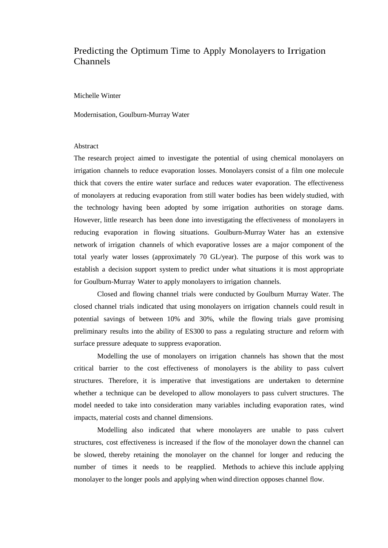### Predicting the Optimum Time to Apply Monolayers to Irrigation Channels

Michelle Winter

Modernisation, Goulburn-Murray Water

#### Abstract

The research project aimed to investigate the potential of using chemical monolayers on irrigation channels to reduce evaporation losses. Monolayers consist of a film one molecule thick that covers the entire water surface and reduces water evaporation. The effectiveness of monolayers at reducing evaporation from still water bodies has been widely studied, with the technology having been adopted by some irrigation authorities on storage dams. However, little research has been done into investigating the effectiveness of monolayers in reducing evaporation in flowing situations. Goulburn-Murray Water has an extensive network of irrigation channels of which evaporative losses are a major component of the total yearly water losses (approximately 70 GL/year). The purpose of this work was to establish a decision support system to predict under what situations it is most appropriate for Goulburn-Murray Water to apply monolayers to irrigation channels.

Closed and flowing channel trials were conducted by Goulburn Murray Water. The closed channel trials indicated that using monolayers on irrigation channels could result in potential savings of between 10% and 30%, while the flowing trials gave promising preliminary results into the ability of ES300 to pass a regulating structure and reform with surface pressure adequate to suppress evaporation.

Modelling the use of monolayers on irrigation channels has shown that the most critical barrier to the cost effectiveness of monolayers is the ability to pass culvert structures. Therefore, it is imperative that investigations are undertaken to determine whether a technique can be developed to allow monolayers to pass culvert structures. The model needed to take into consideration many variables including evaporation rates, wind impacts, material costs and channel dimensions.

Modelling also indicated that where monolayers are unable to pass culvert structures, cost effectiveness is increased if the flow of the monolayer down the channel can be slowed, thereby retaining the monolayer on the channel for longer and reducing the number of times it needs to be reapplied. Methods to achieve this include applying monolayer to the longer pools and applying when wind direction opposes channel flow.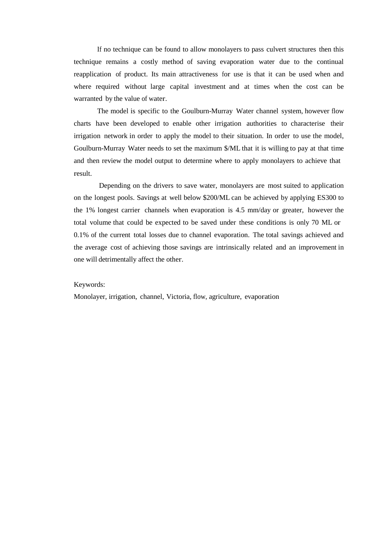If no technique can be found to allow monolayers to pass culvert structures then this technique remains a costly method of saving evaporation water due to the continual reapplication of product. Its main attractiveness for use is that it can be used when and where required without large capital investment and at times when the cost can be warranted by the value of water.

The model is specific to the Goulburn-Murray Water channel system, however flow charts have been developed to enable other irrigation authorities to characterise their irrigation network in order to apply the model to their situation. In order to use the model, Goulburn-Murray Water needs to set the maximum \$/ML that it is willing to pay at that time and then review the model output to determine where to apply monolayers to achieve that result.

Depending on the drivers to save water, monolayers are most suited to application on the longest pools. Savings at well below \$200/ML can be achieved by applying ES300 to the 1% longest carrier channels when evaporation is 4.5 mm/day or greater, however the total volume that could be expected to be saved under these conditions is only 70 ML or 0.1% of the current total losses due to channel evaporation. The total savings achieved and the average cost of achieving those savings are intrinsically related and an improvement in one will detrimentally affect the other.

#### Keywords:

Monolayer, irrigation, channel, Victoria, flow, agriculture, evaporation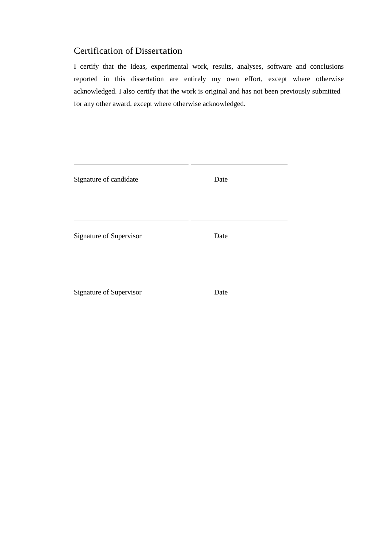## Certification of Dissertation

I certify that the ideas, experimental work, results, analyses, software and conclusions reported in this dissertation are entirely my own effort, except where otherwise acknowledged. I also certify that the work is original and has not been previously submitted for any other award, except where otherwise acknowledged.

| Signature of candidate  | Date |
|-------------------------|------|
|                         |      |
| Signature of Supervisor | Date |
|                         |      |
| Signature of Supervisor | Date |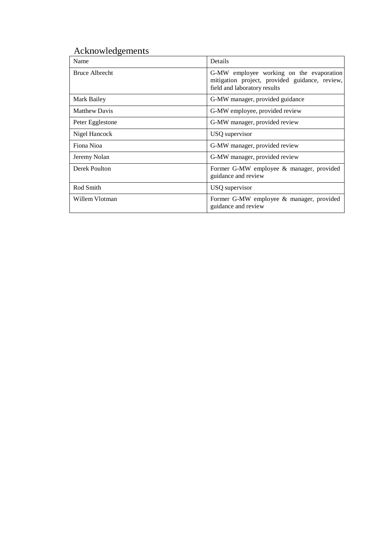# Acknowledgements

| Name                 | Details                                                                                                                    |
|----------------------|----------------------------------------------------------------------------------------------------------------------------|
| Bruce Albrecht       | G-MW employee working on the evaporation<br>mitigation project, provided guidance, review,<br>field and laboratory results |
| Mark Bailey          | G-MW manager, provided guidance                                                                                            |
| <b>Matthew Davis</b> | G-MW employee, provided review                                                                                             |
| Peter Egglestone     | G-MW manager, provided review                                                                                              |
| Nigel Hancock        | USQ supervisor                                                                                                             |
| Fiona Nioa           | G-MW manager, provided review                                                                                              |
| Jeremy Nolan         | G-MW manager, provided review                                                                                              |
| Derek Poulton        | Former G-MW employee & manager, provided<br>guidance and review                                                            |
| Rod Smith            | USQ supervisor                                                                                                             |
| Willem Vlotman       | Former G-MW employee & manager, provided<br>guidance and review                                                            |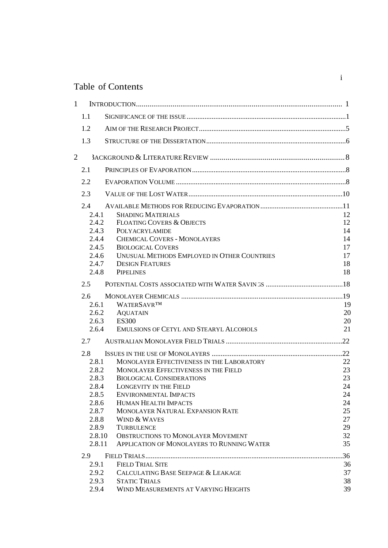# Table of Contents

| $\mathbf{1}$   |                                |                                                                                    |                |
|----------------|--------------------------------|------------------------------------------------------------------------------------|----------------|
|                | 1.1                            |                                                                                    |                |
|                | 1.2                            |                                                                                    |                |
|                | 1.3                            |                                                                                    |                |
| $\overline{2}$ |                                |                                                                                    |                |
|                | 2.1                            |                                                                                    |                |
|                | 2.2                            |                                                                                    |                |
|                | 2.3                            |                                                                                    |                |
|                | 2.4<br>2.4.1<br>2.4.2<br>2.4.3 | <b>SHADING MATERIALS</b><br><b>FLOATING COVERS &amp; OBJECTS</b><br>POLYACRYLAMIDE | 12<br>12<br>14 |
|                | 2.4.4                          | <b>CHEMICAL COVERS - MONOLAYERS</b>                                                | 14             |
|                | 2.4.5                          | <b>BIOLOGICAL COVERS</b>                                                           | 17             |
|                | 2.4.6                          | UNUSUAL METHODS EMPLOYED IN OTHER COUNTRIES                                        | 17             |
|                | 2.4.7                          | <b>DESIGN FEATURES</b>                                                             | 18             |
|                | 2.4.8                          | <b>PIPELINES</b>                                                                   | 18             |
|                | 2.5                            |                                                                                    |                |
|                | $2.6^{\circ}$                  |                                                                                    |                |
|                | 2.6.1                          | <b>WATERSAVRTM</b>                                                                 | 19             |
|                | 2.6.2                          | <b>AQUATAIN</b>                                                                    | 20             |
|                | 2.6.3                          | <b>ES300</b>                                                                       | 20             |
|                | 2.6.4                          | <b>EMULSIONS OF CETYL AND STEARYL ALCOHOLS</b>                                     | 21             |
|                | 2.7                            |                                                                                    |                |
|                | 2.8                            |                                                                                    |                |
|                | 2.8.1                          | MONOLAYER EFFECTIVENESS IN THE LABORATORY                                          | 22             |
|                | 2.8.2                          | <b>MONOLAYER EFFECTIVENESS IN THE FIELD</b>                                        | 23             |
|                | 2.8.3                          | <b>BIOLOGICAL CONSIDERATIONS</b>                                                   | 23             |
|                | 2.8.4                          | <b>LONGEVITY IN THE FIELD</b>                                                      | 24             |
|                | 2.8.5                          | <b>ENVIRONMENTAL IMPACTS</b>                                                       | 24             |
|                | 2.8.6                          | <b>HUMAN HEALTH IMPACTS</b>                                                        | 24             |
|                | 2.8.7                          | MONOLAYER NATURAL EXPANSION RATE                                                   | 25             |
|                | 2.8.8                          | <b>WIND &amp; WAVES</b>                                                            | 27             |
|                | 2.8.9                          | <b>TURBULENCE</b>                                                                  | 29             |
|                | 2.8.10                         | <b>OBSTRUCTIONS TO MONOLAYER MOVEMENT</b>                                          | 32             |
|                | 2.8.11                         | APPLICATION OF MONOLAYERS TO RUNNING WATER                                         | 35             |
|                | 2.9                            |                                                                                    | .36            |
|                | 2.9.1                          | <b>FIELD TRIAL SITE</b>                                                            | 36             |
|                | 2.9.2                          | CALCULATING BASE SEEPAGE & LEAKAGE                                                 | 37             |
|                | 2.9.3                          | <b>STATIC TRIALS</b>                                                               | 38             |
|                | 2.9.4                          | WIND MEASUREMENTS AT VARYING HEIGHTS                                               | 39             |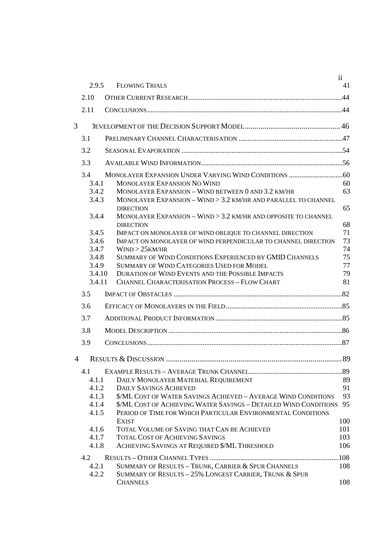|      | 2.9.5  | <b>FLOWING TRIALS</b>                                                              | $\ddot{\rm n}$<br>41 |
|------|--------|------------------------------------------------------------------------------------|----------------------|
|      |        |                                                                                    |                      |
| 2.10 |        |                                                                                    |                      |
| 2.11 |        |                                                                                    |                      |
| 3    |        |                                                                                    |                      |
| 3.1  |        |                                                                                    |                      |
| 3.2  |        |                                                                                    |                      |
| 3.3  |        |                                                                                    |                      |
| 3.4  |        |                                                                                    |                      |
|      | 3.4.1  | MONOLAYER EXPANSION NO WIND                                                        | 60                   |
|      | 3.4.2  | MONOLAYER EXPANSION - WIND BETWEEN 0 AND 3.2 KM/HR                                 | 63                   |
|      | 3.4.3  | MONOLAYER EXPANSION - WIND > 3.2 KM/HR AND PARALLEL TO CHANNEL<br><b>DIRECTION</b> | 65                   |
|      | 3.4.4  | MONOLAYER EXPANSION - WIND $>$ 3.2 KM/HR AND OPPOSITE TO CHANNEL                   |                      |
|      |        | <b>DIRECTION</b>                                                                   | 68                   |
|      | 3.4.5  | IMPACT ON MONOLAYER OF WIND OBLIQUE TO CHANNEL DIRECTION                           | 71                   |
|      | 3.4.6  | IMPACT ON MONOLAYER OF WIND PERPENDICULAR TO CHANNEL DIRECTION                     | 73                   |
|      | 3.4.7  | WIND > 25KM/HR                                                                     | 74                   |
|      | 3.4.8  | SUMMARY OF WIND CONDITIONS EXPERIENCED BY GMID CHANNELS                            | 75                   |
|      | 3.4.9  | <b>SUMMARY OF WIND CATEGORIES USED FOR MODEL</b>                                   | 77                   |
|      | 3.4.10 | DURATION OF WIND EVENTS AND THE POSSIBLE IMPACTS                                   | 79                   |
|      | 3.4.11 | <b>CHANNEL CHARACTERISATION PROCESS - FLOW CHART</b>                               | 81                   |
| 3.5  |        |                                                                                    |                      |
| 3.6  |        |                                                                                    |                      |
| 3.7  |        |                                                                                    |                      |
| 3.8  |        |                                                                                    |                      |
| 3.9  |        |                                                                                    |                      |
| 4    |        | <b>RESULTS &amp; DISCUSSION</b>                                                    | 89                   |
| 4.1  |        |                                                                                    |                      |
|      | 4.1.1  | DAILY MONOLAYER MATERIAL REQUIREMENT                                               | 89                   |
|      | 4.1.2  | <b>DAILY SAVINGS ACHIEVED</b>                                                      | 91                   |
|      | 4.1.3  | \$/ML COST OF WATER SAVINGS ACHIEVED - AVERAGE WIND CONDITIONS                     | 93                   |
|      | 4.1.4  | \$/ML COST OF ACHIEVING WATER SAVINGS - DETAILED WIND CONDITIONS 95                |                      |
|      | 4.1.5  | PERIOD OF TIME FOR WHICH PARTICULAR ENVIRONMENTAL CONDITIONS<br><b>EXIST</b>       | 100                  |
|      | 4.1.6  | TOTAL VOLUME OF SAVING THAT CAN BE ACHIEVED                                        | 101                  |
|      | 4.1.7  | <b>TOTAL COST OF ACHIEVING SAVINGS</b>                                             | 103                  |
|      | 4.1.8  | ACHIEVING SAVINGS AT REQUIRED \$/ML THRESHOLD                                      | 106                  |
| 4.2  |        |                                                                                    |                      |
|      | 4.2.1  | SUMMARY OF RESULTS - TRUNK, CARRIER & SPUR CHANNELS                                | 108                  |
|      | 4.2.2  | SUMMARY OF RESULTS - 25% LONGEST CARRIER, TRUNK & SPUR                             |                      |
|      |        |                                                                                    |                      |